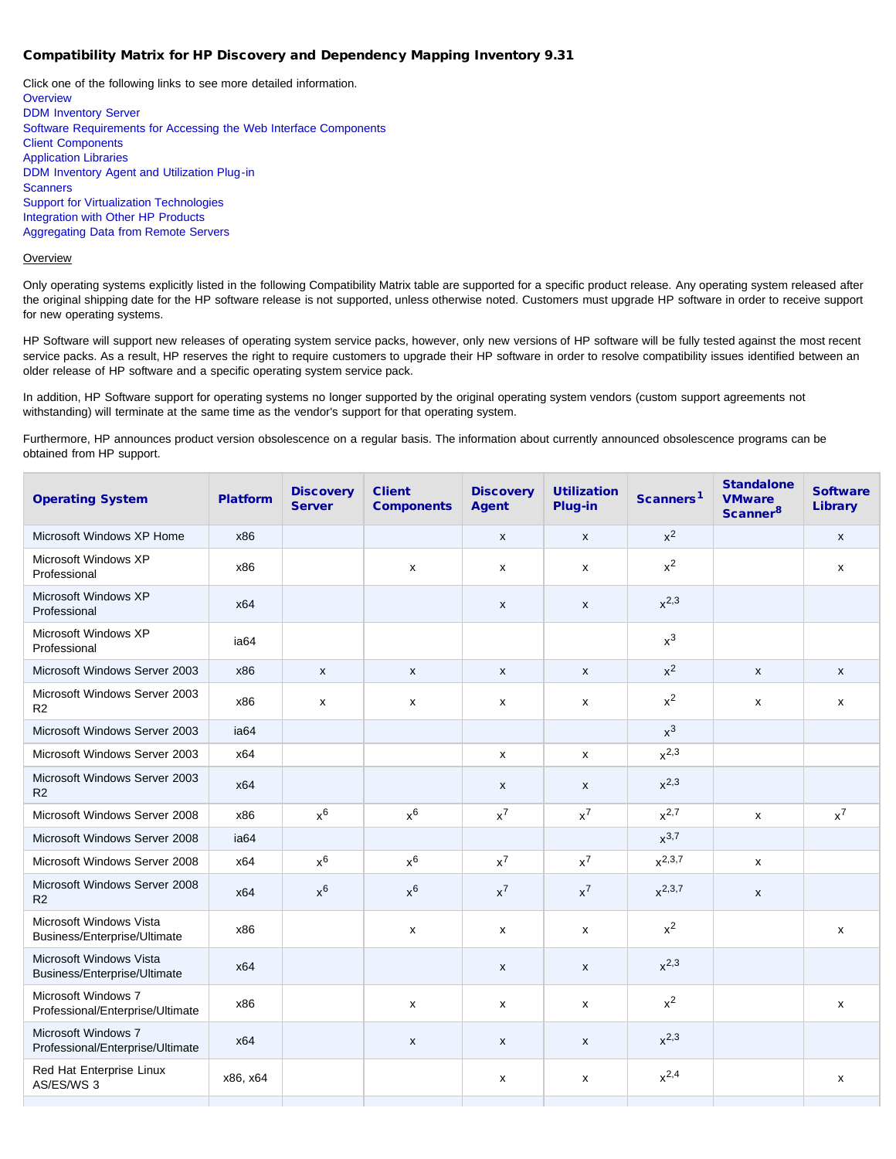### Compatibility Matrix for HP Discovery and Dependency Mapping Inventory 9.31

Click one of the following links to see more detailed information. **[Overview](#page-0-0)** [DDM Inventory Server](#page-1-0) [Software Requirements for Accessing the Web Interface Components](#page-1-1) [Client Components](#page-1-2) [Application Libraries](#page-1-3) [DDM Inventory Agent and Utilization Plug-in](#page-2-0) **[Scanners](#page-2-1)** [Support for Virtualization Technologies](#page-2-2) [Integration with Other HP Products](#page-2-3) [Aggregating Data from Remote Servers](#page-3-0)

### <span id="page-0-0"></span>**Overview**

Only operating systems explicitly listed in the following Compatibility Matrix table are supported for a specific product release. Any operating system released after the original shipping date for the HP software release is not supported, unless otherwise noted. Customers must upgrade HP software in order to receive support for new operating systems.

HP Software will support new releases of operating system service packs, however, only new versions of HP software will be fully tested against the most recent service packs. As a result, HP reserves the right to require customers to upgrade their HP software in order to resolve compatibility issues identified between an older release of HP software and a specific operating system service pack.

In addition, HP Software support for operating systems no longer supported by the original operating system vendors (custom support agreements not withstanding) will terminate at the same time as the vendor's support for that operating system.

Furthermore, HP announces product version obsolescence on a regular basis. The information about currently announced obsolescence programs can be obtained from HP support.

| <b>Operating System</b>                                 | <b>Platform</b> | <b>Discovery</b><br><b>Server</b> | <b>Client</b><br><b>Components</b> | <b>Discovery</b><br><b>Agent</b> | <b>Utilization</b><br>Plug-in | Scanners <sup>1</sup> | <b>Standalone</b><br><b>VMware</b><br>Scanner <sup>8</sup> | <b>Software</b><br><b>Library</b> |
|---------------------------------------------------------|-----------------|-----------------------------------|------------------------------------|----------------------------------|-------------------------------|-----------------------|------------------------------------------------------------|-----------------------------------|
| Microsoft Windows XP Home                               | x86             |                                   |                                    | X                                | $\mathsf{x}$                  | $x^2$                 |                                                            | $\mathsf{x}$                      |
| Microsoft Windows XP<br>Professional                    | x86             |                                   | X                                  | x                                | $\pmb{\mathsf{X}}$            | $x^2$                 |                                                            | $\pmb{\mathsf{X}}$                |
| Microsoft Windows XP<br>Professional                    | x64             |                                   |                                    | $\mathsf{x}$                     | $\mathsf{x}$                  | $x^{2,3}$             |                                                            |                                   |
| Microsoft Windows XP<br>Professional                    | ia64            |                                   |                                    |                                  |                               | $x^3$                 |                                                            |                                   |
| Microsoft Windows Server 2003                           | x86             | $\mathsf{x}$                      | X                                  | X                                | X                             | $x^2$                 | $\mathsf{x}$                                               | $\mathsf{x}$                      |
| Microsoft Windows Server 2003<br>R2                     | x86             | x                                 | x                                  | x                                | X                             | $x^2$                 | x                                                          | X                                 |
| Microsoft Windows Server 2003                           | ia64            |                                   |                                    |                                  |                               | $x^3$                 |                                                            |                                   |
| Microsoft Windows Server 2003                           | x64             |                                   |                                    | x                                | x                             | $x^{2,3}$             |                                                            |                                   |
| Microsoft Windows Server 2003<br>R2                     | x64             |                                   |                                    | X                                | $\mathsf{x}$                  | $x^{2,3}$             |                                                            |                                   |
| Microsoft Windows Server 2008                           | x86             | $x^6$                             | $x^6$                              | $x^7$                            | $x^7$                         | $x^{2,7}$             | x                                                          | $x^7$                             |
| Microsoft Windows Server 2008                           | ia64            |                                   |                                    |                                  |                               | $x^{3,7}$             |                                                            |                                   |
| Microsoft Windows Server 2008                           | x64             | $x^6$                             | $x^6$                              | $x^7$                            | $x^7$                         | $x^{2,3,7}$           | x                                                          |                                   |
| Microsoft Windows Server 2008<br>R <sub>2</sub>         | x64             | $x^6$                             | $x^6$                              | $x^7$                            | $x^7$                         | $x^{2,3,7}$           | X                                                          |                                   |
| Microsoft Windows Vista<br>Business/Enterprise/Ultimate | x86             |                                   | x                                  | x                                | X                             | $x^2$                 |                                                            | X                                 |
| Microsoft Windows Vista<br>Business/Enterprise/Ultimate | x64             |                                   |                                    | X                                | X                             | $x^{2,3}$             |                                                            |                                   |
| Microsoft Windows 7<br>Professional/Enterprise/Ultimate | x86             |                                   | $\mathsf{x}$                       | $\mathsf{x}$                     | x                             | $x^2$                 |                                                            | $\mathsf{x}$                      |
| Microsoft Windows 7<br>Professional/Enterprise/Ultimate | x64             |                                   | X                                  | X                                | X                             | $x^{2,3}$             |                                                            |                                   |
| Red Hat Enterprise Linux<br>AS/ES/WS 3                  | x86, x64        |                                   |                                    | x                                | x                             | $x^{2,4}$             |                                                            | X                                 |
|                                                         |                 |                                   |                                    |                                  |                               |                       |                                                            |                                   |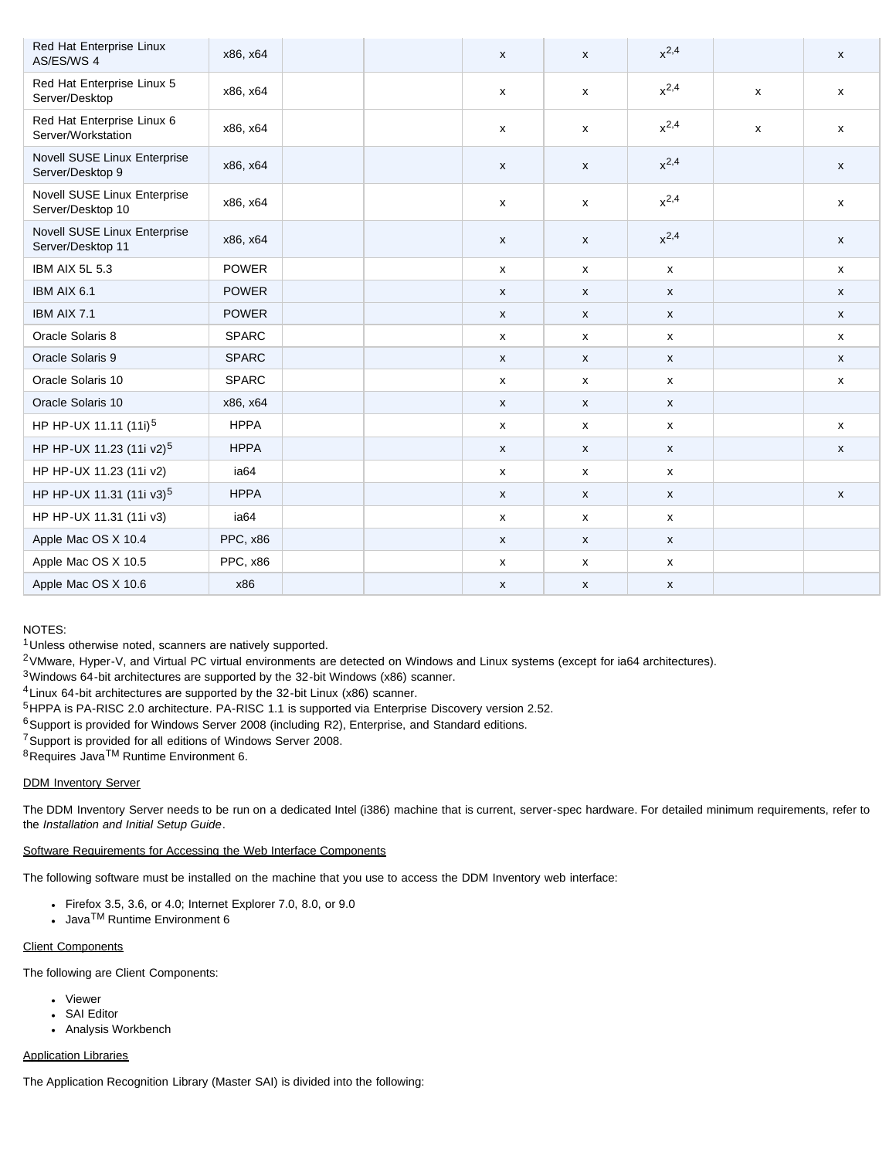| Red Hat Enterprise Linux<br>AS/ES/WS 4            | x86, x64     |  | X            | X                  | $x^{2,4}$          |   | X                  |
|---------------------------------------------------|--------------|--|--------------|--------------------|--------------------|---|--------------------|
| Red Hat Enterprise Linux 5<br>Server/Desktop      | x86, x64     |  | $\mathsf{x}$ | $\mathsf{x}$       | $x^{2,4}$          | X | $\mathsf{x}$       |
| Red Hat Enterprise Linux 6<br>Server/Workstation  | x86, x64     |  | X            | $\mathsf{x}$       | $x^{2,4}$          | x | x                  |
| Novell SUSE Linux Enterprise<br>Server/Desktop 9  | x86, x64     |  | X            | $\mathsf{x}$       | $x^{2,4}$          |   | X                  |
| Novell SUSE Linux Enterprise<br>Server/Desktop 10 | x86, x64     |  | x            | X                  | $x^{2,4}$          |   | X                  |
| Novell SUSE Linux Enterprise<br>Server/Desktop 11 | x86, x64     |  | $\mathsf{x}$ | X                  | $x^{2,4}$          |   | X                  |
| IBM AIX 5L 5.3                                    | <b>POWER</b> |  | $\mathsf{x}$ | x                  | $\mathsf{x}$       |   | $\mathsf{x}$       |
| IBM AIX 6.1                                       | <b>POWER</b> |  | X            | X                  | $\pmb{\mathsf{X}}$ |   | $\mathsf{x}$       |
| IBM AIX 7.1                                       | <b>POWER</b> |  | X            | X                  | $\mathsf{x}$       |   | $\mathsf{x}$       |
| Oracle Solaris 8                                  | <b>SPARC</b> |  | X            | x                  | $\mathsf{x}$       |   | X                  |
| Oracle Solaris 9                                  | <b>SPARC</b> |  | X            | X                  | $\mathsf{x}$       |   | $\mathsf{x}$       |
| Oracle Solaris 10                                 | <b>SPARC</b> |  | x            | X                  | $\mathsf{x}$       |   | X                  |
| Oracle Solaris 10                                 | x86, x64     |  | $\mathsf{x}$ | X                  | $\mathsf{x}$       |   |                    |
| HP HP-UX 11.11 (11i) <sup>5</sup>                 | <b>HPPA</b>  |  | $\mathsf{x}$ | $\mathsf{x}$       | $\pmb{\mathsf{x}}$ |   | $\mathsf{x}$       |
| HP HP-UX 11.23 (11i v2) <sup>5</sup>              | <b>HPPA</b>  |  | X            | $\pmb{\mathsf{X}}$ | $\pmb{\mathsf{X}}$ |   | $\pmb{\mathsf{x}}$ |
| HP HP-UX 11.23 (11i v2)                           | ia64         |  | $\mathsf{x}$ | x                  | $\mathsf{x}$       |   |                    |
| HP HP-UX 11.31 (11i v3) <sup>5</sup>              | <b>HPPA</b>  |  | X            | $\pmb{\mathsf{x}}$ | $\pmb{\mathsf{X}}$ |   | $\pmb{\mathsf{x}}$ |
| HP HP-UX 11.31 (11i v3)                           | ia64         |  | $\mathsf{x}$ | X                  | $\mathsf{x}$       |   |                    |
| Apple Mac OS X 10.4                               | PPC, x86     |  | X            | X                  | $\mathsf{x}$       |   |                    |
| Apple Mac OS X 10.5                               | PPC, x86     |  | X            | X                  | $\pmb{\mathsf{x}}$ |   |                    |
| Apple Mac OS X 10.6                               | x86          |  | X            | X                  | $\pmb{\mathsf{X}}$ |   |                    |

## NOTES:

1Unless otherwise noted, scanners are natively supported.

2VMware, Hyper-V, and Virtual PC virtual environments are detected on Windows and Linux systems (except for ia64 architectures).

3Windows 64-bit architectures are supported by the 32-bit Windows (x86) scanner.

4Linux 64-bit architectures are supported by the 32-bit Linux (x86) scanner.

5HPPA is PA-RISC 2.0 architecture. PA-RISC 1.1 is supported via Enterprise Discovery version 2.52.

<sup>6</sup>Support is provided for Windows Server 2008 (including R2), Enterprise, and Standard editions.

7Support is provided for all editions of Windows Server 2008.

8Requires JavaTM Runtime Environment 6.

# <span id="page-1-0"></span>DDM Inventory Server

The DDM Inventory Server needs to be run on a dedicated Intel (i386) machine that is current, server-spec hardware. For detailed minimum requirements, refer to the *Installation and Initial Setup Guide*.

# <span id="page-1-1"></span>Software Requirements for Accessing the Web Interface Components

The following software must be installed on the machine that you use to access the DDM Inventory web interface:

- Firefox 3.5, 3.6, or 4.0; Internet Explorer 7.0, 8.0, or 9.0
- Java<sup>TM</sup> Runtime Environment 6

# <span id="page-1-2"></span>Client Components

The following are Client Components:

- Viewer
- SAI Editor
- Analysis Workbench

# <span id="page-1-3"></span>Application Libraries

The Application Recognition Library (Master SAI) is divided into the following: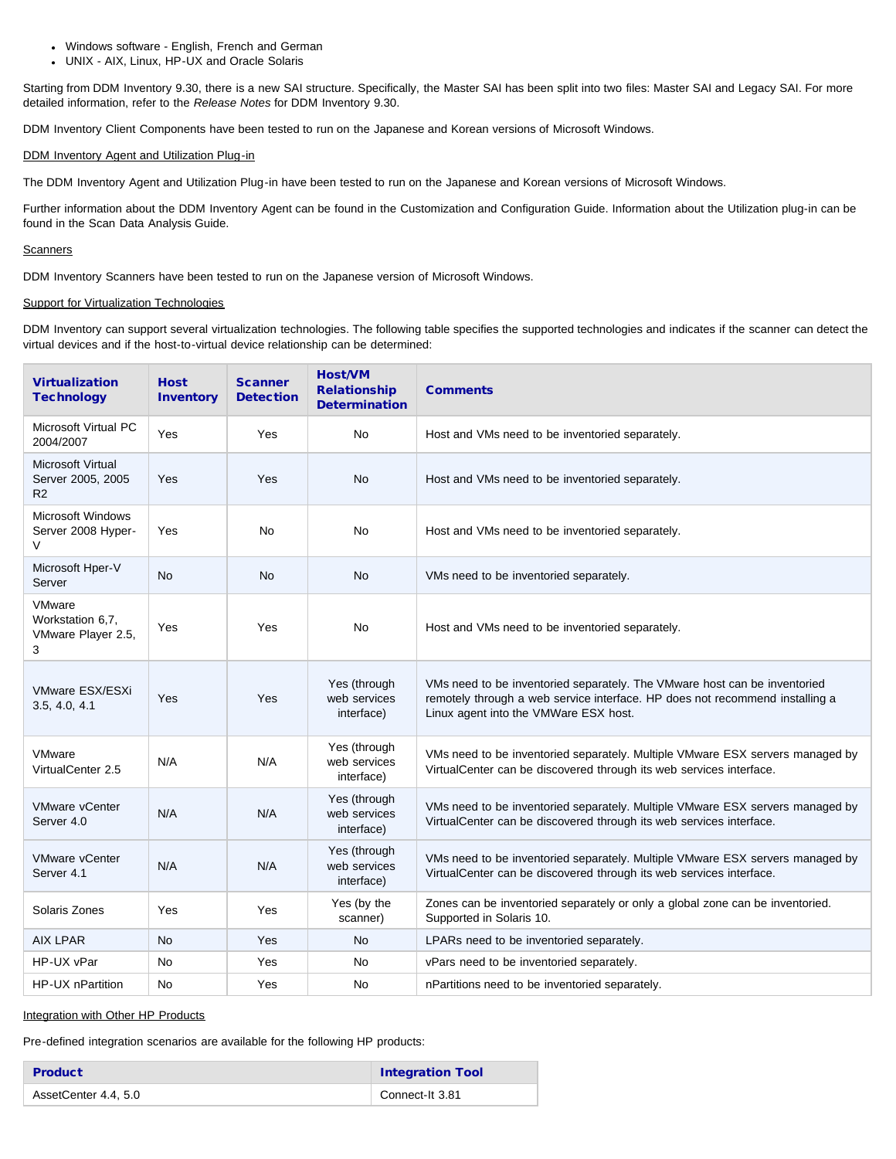- Windows software English, French and German
- UNIX AIX, Linux, HP-UX and Oracle Solaris

Starting from DDM Inventory 9.30, there is a new SAI structure. Specifically, the Master SAI has been split into two files: Master SAI and Legacy SAI. For more detailed information, refer to the *Release Notes* for DDM Inventory 9.30.

DDM Inventory Client Components have been tested to run on the Japanese and Korean versions of Microsoft Windows.

### <span id="page-2-0"></span>DDM Inventory Agent and Utilization Plug-in

The DDM Inventory Agent and Utilization Plug-in have been tested to run on the Japanese and Korean versions of Microsoft Windows.

Further information about the DDM Inventory Agent can be found in the Customization and Configuration Guide. Information about the Utilization plug-in can be found in the Scan Data Analysis Guide.

### <span id="page-2-1"></span>**Scanners**

DDM Inventory Scanners have been tested to run on the Japanese version of Microsoft Windows.

### <span id="page-2-2"></span>Support for Virtualization Technologies

DDM Inventory can support several virtualization technologies. The following table specifies the supported technologies and indicates if the scanner can detect the virtual devices and if the host-to-virtual device relationship can be determined:

| <b>Virtualization</b><br><b>Technology</b>            | <b>Host</b><br><b>Inventory</b> | <b>Scanner</b><br><b>Detection</b> | <b>Host/VM</b><br><b>Relationship</b><br><b>Determination</b> | <b>Comments</b>                                                                                                                                                                                    |
|-------------------------------------------------------|---------------------------------|------------------------------------|---------------------------------------------------------------|----------------------------------------------------------------------------------------------------------------------------------------------------------------------------------------------------|
| Microsoft Virtual PC<br>2004/2007                     | Yes                             | Yes                                | No                                                            | Host and VMs need to be inventoried separately.                                                                                                                                                    |
| <b>Microsoft Virtual</b><br>Server 2005, 2005<br>R2   | Yes                             | Yes                                | <b>No</b>                                                     | Host and VMs need to be inventoried separately.                                                                                                                                                    |
| <b>Microsoft Windows</b><br>Server 2008 Hyper-<br>V   | Yes                             | <b>No</b>                          | No                                                            | Host and VMs need to be inventoried separately.                                                                                                                                                    |
| Microsoft Hper-V<br>Server                            | <b>No</b>                       | <b>No</b>                          | <b>No</b>                                                     | VMs need to be inventoried separately.                                                                                                                                                             |
| VMware<br>Workstation 6,7,<br>VMware Player 2.5,<br>3 | Yes                             | Yes                                | No                                                            | Host and VMs need to be inventoried separately.                                                                                                                                                    |
| VMware ESX/ESXi<br>3.5, 4.0, 4.1                      | Yes                             | Yes                                | Yes (through<br>web services<br>interface)                    | VMs need to be inventoried separately. The VMware host can be inventoried<br>remotely through a web service interface. HP does not recommend installing a<br>Linux agent into the VMWare ESX host. |
| <b>VMware</b><br>VirtualCenter 2.5                    | N/A                             | N/A                                | Yes (through<br>web services<br>interface)                    | VMs need to be inventoried separately. Multiple VMware ESX servers managed by<br>VirtualCenter can be discovered through its web services interface.                                               |
| <b>VMware vCenter</b><br>Server 4.0                   | N/A                             | N/A                                | Yes (through<br>web services<br>interface)                    | VMs need to be inventoried separately. Multiple VMware ESX servers managed by<br>VirtualCenter can be discovered through its web services interface.                                               |
| <b>VMware vCenter</b><br>Server 4.1                   | N/A                             | N/A                                | Yes (through<br>web services<br>interface)                    | VMs need to be inventoried separately. Multiple VMware ESX servers managed by<br>VirtualCenter can be discovered through its web services interface.                                               |
| Solaris Zones                                         | Yes                             | Yes                                | Yes (by the<br>scanner)                                       | Zones can be inventoried separately or only a global zone can be inventoried.<br>Supported in Solaris 10.                                                                                          |
| <b>AIX LPAR</b>                                       | <b>No</b>                       | Yes                                | <b>No</b>                                                     | LPARs need to be inventoried separately.                                                                                                                                                           |
| HP-UX vPar                                            | No                              | Yes                                | No                                                            | vPars need to be inventoried separately.                                                                                                                                                           |
| HP-UX nPartition                                      | <b>No</b>                       | Yes                                | No                                                            | nPartitions need to be inventoried separately.                                                                                                                                                     |

### <span id="page-2-3"></span>Integration with Other HP Products

Pre-defined integration scenarios are available for the following HP products:

| <b>Product</b>       | <b>Integration Tool</b> |
|----------------------|-------------------------|
| AssetCenter 4.4, 5.0 | Connect-It 3.81         |